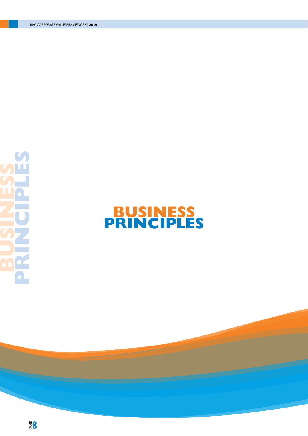

# **BUSINESS PRINCIPLES**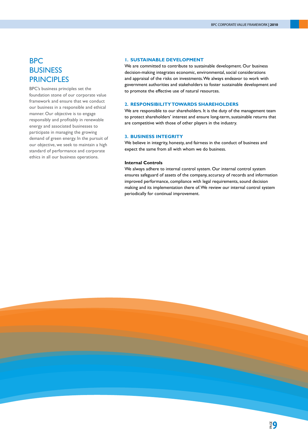# BPC **BUSINESS PRINCIPLES**

BPC's business principles set the foundation stone of our corporate value framework and ensure that we conduct our business in a responsible and ethical manner. Our objective is to engage responsibly and profitably in renewable energy and associated businesses to participate in managing the growing demand of green energy. In the pursuit of our objective, we seek to maintain a high standard of performance and corporate ethics in all our business operations.

# **1. SUSTAINABLE DEVELOPMENT**

We are committed to contribute to sustainable development. Our business decision-making integrates economic, environmental, social considerations and appraisal of the risks on investments. We always endeavor to work with government authorities and stakeholders to foster sustainable development and to promote the effective use of natural resources.

# **2. RESPONSIBILITY TOWARDS SHAREHOLDERS**

We are responsible to our shareholders. It is the duty of the management team to protect shareholders' interest and ensure long-term, sustainable returns that are competitive with those of other players in the industry.

# **3. BUSINESS INTEGRITY**

We believe in integrity, honesty, and fairness in the conduct of business and expect the same from all with whom we do business.

#### **Internal Controls**

We always adhere to internal control system. Our internal control system ensures safeguard of assets of the company, accuracy of records and information improved performance, compliance with legal requirements, sound decision making and its implementation there of. We review our internal control system periodically for continual improvement.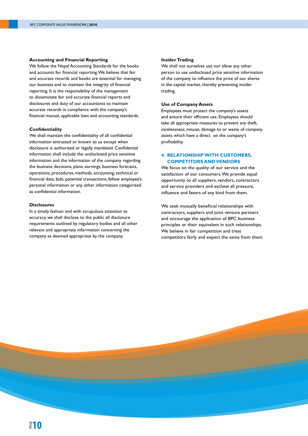#### **Accounting and Financial Reporting**

We follow the Nepal Accounting Standards for the books and accounts for financial reporting. We believe that fair and accurate records and books are essential for managing our business and to maintain the integrity of financial reporting. It is the responsibility of the management to disseminate fair and accurate financial reports and disclosures and duty of our accountants to maintain accurate records in compliance with the company's financial manual, applicable laws and accounting standards.

# **Confidentiality**

We shall maintain the confidentiality of all confidential information entrusted or known to us except when disclosure is authorized or legally mandated. Confidential information shall include the undisclosed price sensitive information and the information of the company regarding the business decisions, plans, earnings, business forecasts, operations, procedures, methods, accounting, technical or financial data, bids, potential transactions, fellow employee's personal information or any other information categorized as confidential information.

#### **Disclosures**

In a timely fashion and with scrupulous attention to accuracy, we shall disclose to the public all disclosure requirements outlined by regulatory bodies and all other relevant and appropriate information concerning the company as deemed appropriate by the company.

# **Insider Trading**

We shall not ourselves use nor allow any other person to use undisclosed price sensitive information of the company to influence the price of our shares in the capital market, thereby preventing insider trading.

# **Use of Company Assets**

Employees must protect the company's assets and ensure their efficient use. Employees should take all appropriate measures to prevent any theft, carelessness, misuse, damage to or waste of company assets which have a direct on the company's profitability.

# **4. RELATIONSHIP WITH CUSTOMERS, COMPETITORS AND VENDORS**

We focus on the quality of our service and the satisfaction of our consumers. We provide equal opportunity to all suppliers, vendors, contractors and service providers and eschew all pressure, influence and favors of any kind from them.

We seek mutually beneficial relationships with contractors, suppliers and joint venture partners and encourage the application of BPC business principles or their equivalent in such relationships. We believe in fair competition and treat competitors fairly and expect the same from them.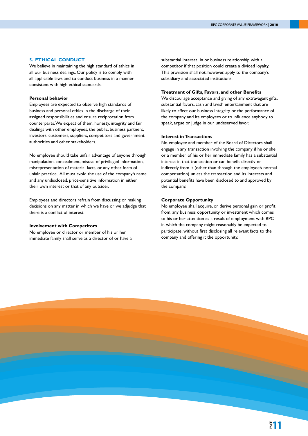# **5. ETHICAL CONDUCT**

We believe in maintaining the high standard of ethics in all our business dealings. Our policy is to comply with all applicable laws and to conduct business in a manner consistent with high ethical standards.

#### **Personal behavior**

Employees are expected to observe high standards of business and personal ethics in the discharge of their assigned responsibilities and ensure reciprocation from counterparts. We expect of them, honesty, integrity and fair dealings with other employees, the public, business partners, investors, customers, suppliers, competitors and government authorities and other stakeholders.

No employee should take unfair advantage of anyone through manipulation, concealment, misuse of privileged information, misrepresentation of material facts, or any other form of unfair practice. All must avoid the use of the company's name and any undisclosed, price-sensitive information in either their own interest or that of any outsider.

Employees and directors refrain from discussing or making decisions on any matter in which we have or we adjudge that there is a conflict of interest.

# **Involvement with Competitors**

No employee or director or member of his or her immediate family shall serve as a director of or have a substantial interest in or business relationship with a competitor if that position could create a divided loyalty. This provision shall not, however, apply to the company's subsidiary and associated institutions.

# **Treatment of Gifts, Favors, and other Benefits**

We discourage acceptance and giving of any extravagant gifts, substantial favors, cash and lavish entertainment that are likely to affect our business integrity or the performance of the company and its employees or to influence anybody to speak, argue or judge in our undeserved favor.

#### **Interest in Transactions**

No employee and member of the Board of Directors shall engage in any transaction involving the company if he or she or a member of his or her immediate family has a substantial interest in that transaction or can benefit directly or indirectly from it (other than through the employee's normal compensation) unless the transaction and its interests and potential benefits have been disclosed to and approved by the company.

#### **Corporate Opportunity**

No employee shall acquire, or derive personal gain or profit from, any business opportunity or investment which comes to his or her attention as a result of employment with BPC in which the company might reasonably be expected to participate, without first disclosing all relevant facts to the company and offering it the opportunity.